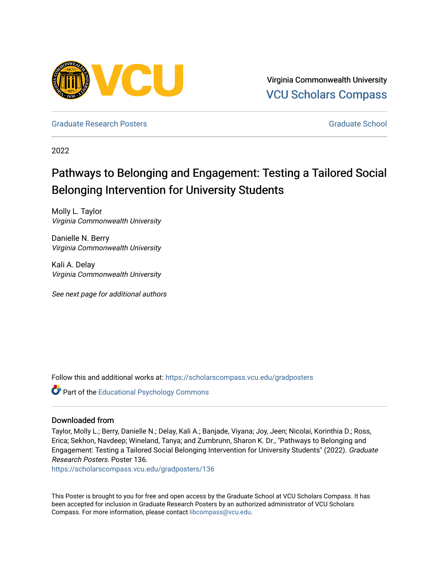

Virginia Commonwealth University [VCU Scholars Compass](https://scholarscompass.vcu.edu/) 

[Graduate Research Posters](https://scholarscompass.vcu.edu/gradposters) [Graduate School](https://scholarscompass.vcu.edu/gradschool) Creative School Creative School Creative School Creative School Creative School Creative School Creative School Creative School Creative School Creative School Creative School Crea

2022

## Pathways to Belonging and Engagement: Testing a Tailored Social Belonging Intervention for University Students

Molly L. Taylor Virginia Commonwealth University

Danielle N. Berry Virginia Commonwealth University

Kali A. Delay Virginia Commonwealth University

See next page for additional authors

Follow this and additional works at: [https://scholarscompass.vcu.edu/gradposters](https://scholarscompass.vcu.edu/gradposters?utm_source=scholarscompass.vcu.edu%2Fgradposters%2F136&utm_medium=PDF&utm_campaign=PDFCoverPages)

**C** Part of the Educational Psychology Commons

## Downloaded from

Taylor, Molly L.; Berry, Danielle N.; Delay, Kali A.; Banjade, Viyana; Joy, Jeen; Nicolai, Korinthia D.; Ross, Erica; Sekhon, Navdeep; Wineland, Tanya; and Zumbrunn, Sharon K. Dr., "Pathways to Belonging and Engagement: Testing a Tailored Social Belonging Intervention for University Students" (2022). Graduate Research Posters. Poster 136.

[https://scholarscompass.vcu.edu/gradposters/136](https://scholarscompass.vcu.edu/gradposters/136?utm_source=scholarscompass.vcu.edu%2Fgradposters%2F136&utm_medium=PDF&utm_campaign=PDFCoverPages)

This Poster is brought to you for free and open access by the Graduate School at VCU Scholars Compass. It has been accepted for inclusion in Graduate Research Posters by an authorized administrator of VCU Scholars Compass. For more information, please contact [libcompass@vcu.edu](mailto:libcompass@vcu.edu).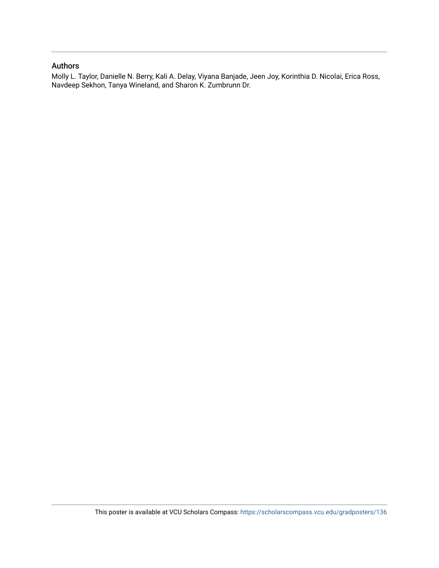## Authors

Molly L. Taylor, Danielle N. Berry, Kali A. Delay, Viyana Banjade, Jeen Joy, Korinthia D. Nicolai, Erica Ross, Navdeep Sekhon, Tanya Wineland, and Sharon K. Zumbrunn Dr.